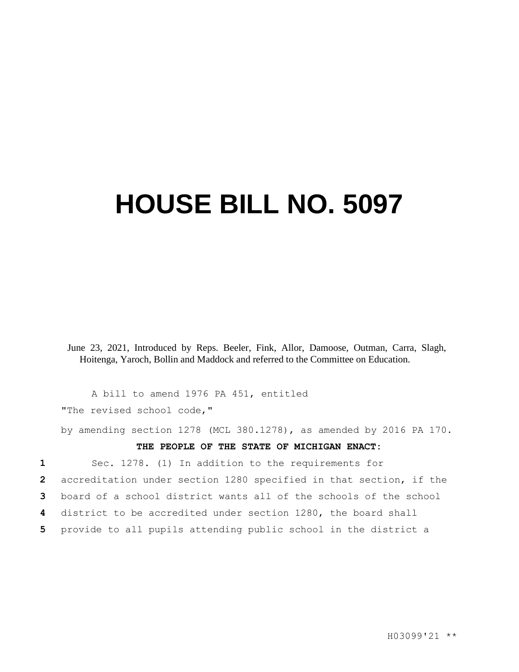## **HOUSE BILL NO. 5097**

June 23, 2021, Introduced by Reps. Beeler, Fink, Allor, Damoose, Outman, Carra, Slagh, Hoitenga, Yaroch, Bollin and Maddock and referred to the Committee on Education.

A bill to amend 1976 PA 451, entitled "The revised school code,"

by amending section 1278 (MCL 380.1278), as amended by 2016 PA 170.

## **THE PEOPLE OF THE STATE OF MICHIGAN ENACT:**

 Sec. 1278. (1) In addition to the requirements for accreditation under section 1280 specified in that section, if the board of a school district wants all of the schools of the school district to be accredited under section 1280, the board shall provide to all pupils attending public school in the district a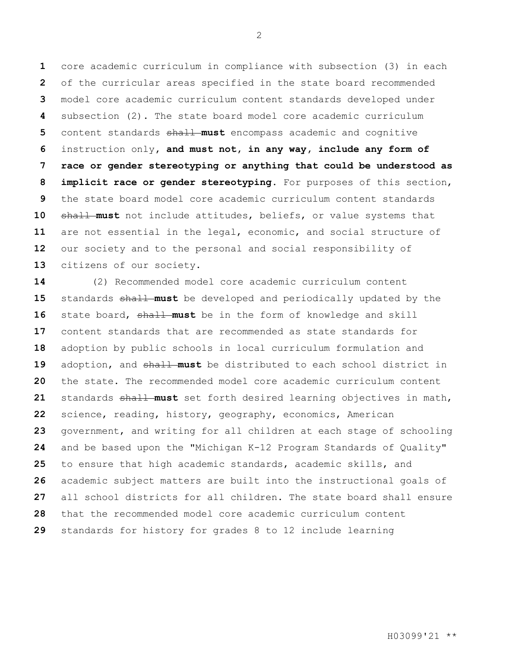core academic curriculum in compliance with subsection (3) in each of the curricular areas specified in the state board recommended model core academic curriculum content standards developed under subsection (2). The state board model core academic curriculum content standards shall **must** encompass academic and cognitive instruction only**, and must not, in any way, include any form of race or gender stereotyping or anything that could be understood as implicit race or gender stereotyping**. For purposes of this section, the state board model core academic curriculum content standards 10 shall must not include attitudes, beliefs, or value systems that are not essential in the legal, economic, and social structure of our society and to the personal and social responsibility of citizens of our society.

 (2) Recommended model core academic curriculum content 15 standards shall must be developed and periodically updated by the state board, shall **must** be in the form of knowledge and skill content standards that are recommended as state standards for adoption by public schools in local curriculum formulation and 19 adoption, and shall must be distributed to each school district in the state. The recommended model core academic curriculum content 21 standards shall must set forth desired learning objectives in math, science, reading, history, geography, economics, American government, and writing for all children at each stage of schooling and be based upon the "Michigan K-12 Program Standards of Quality" to ensure that high academic standards, academic skills, and academic subject matters are built into the instructional goals of all school districts for all children. The state board shall ensure that the recommended model core academic curriculum content standards for history for grades 8 to 12 include learning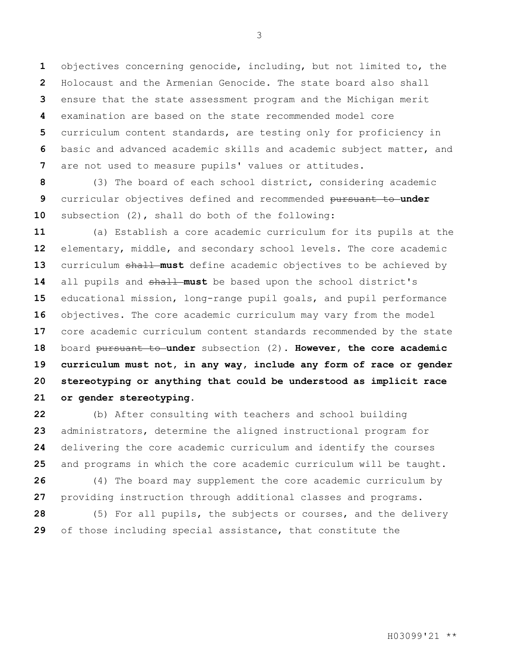objectives concerning genocide, including, but not limited to, the Holocaust and the Armenian Genocide. The state board also shall ensure that the state assessment program and the Michigan merit examination are based on the state recommended model core curriculum content standards, are testing only for proficiency in basic and advanced academic skills and academic subject matter, and are not used to measure pupils' values or attitudes.

 (3) The board of each school district, considering academic curricular objectives defined and recommended pursuant to **under**  subsection (2), shall do both of the following:

 (a) Establish a core academic curriculum for its pupils at the elementary, middle, and secondary school levels. The core academic 13 curriculum shall must define academic objectives to be achieved by 14 all pupils and shall must be based upon the school district's educational mission, long-range pupil goals, and pupil performance objectives. The core academic curriculum may vary from the model core academic curriculum content standards recommended by the state board pursuant to **under** subsection (2). **However, the core academic curriculum must not, in any way, include any form of race or gender stereotyping or anything that could be understood as implicit race or gender stereotyping.**

 (b) After consulting with teachers and school building administrators, determine the aligned instructional program for delivering the core academic curriculum and identify the courses and programs in which the core academic curriculum will be taught. (4) The board may supplement the core academic curriculum by

providing instruction through additional classes and programs.

 (5) For all pupils, the subjects or courses, and the delivery of those including special assistance, that constitute the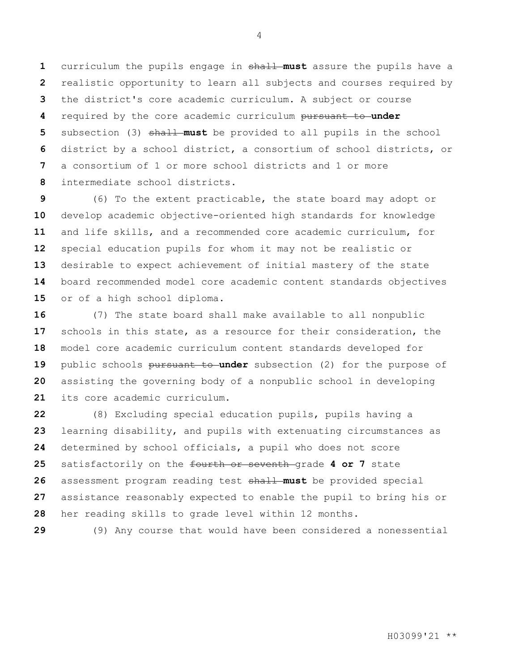curriculum the pupils engage in shall **must** assure the pupils have a realistic opportunity to learn all subjects and courses required by the district's core academic curriculum. A subject or course required by the core academic curriculum pursuant to **under**  subsection (3) shall **must** be provided to all pupils in the school district by a school district, a consortium of school districts, or a consortium of 1 or more school districts and 1 or more intermediate school districts.

 (6) To the extent practicable, the state board may adopt or develop academic objective-oriented high standards for knowledge and life skills, and a recommended core academic curriculum, for special education pupils for whom it may not be realistic or desirable to expect achievement of initial mastery of the state board recommended model core academic content standards objectives or of a high school diploma.

 (7) The state board shall make available to all nonpublic schools in this state, as a resource for their consideration, the model core academic curriculum content standards developed for 19 public schools pursuant to under subsection (2) for the purpose of assisting the governing body of a nonpublic school in developing its core academic curriculum.

 (8) Excluding special education pupils, pupils having a learning disability, and pupils with extenuating circumstances as determined by school officials, a pupil who does not score satisfactorily on the fourth or seventh grade **4 or 7** state assessment program reading test shall **must** be provided special assistance reasonably expected to enable the pupil to bring his or her reading skills to grade level within 12 months.

(9) Any course that would have been considered a nonessential